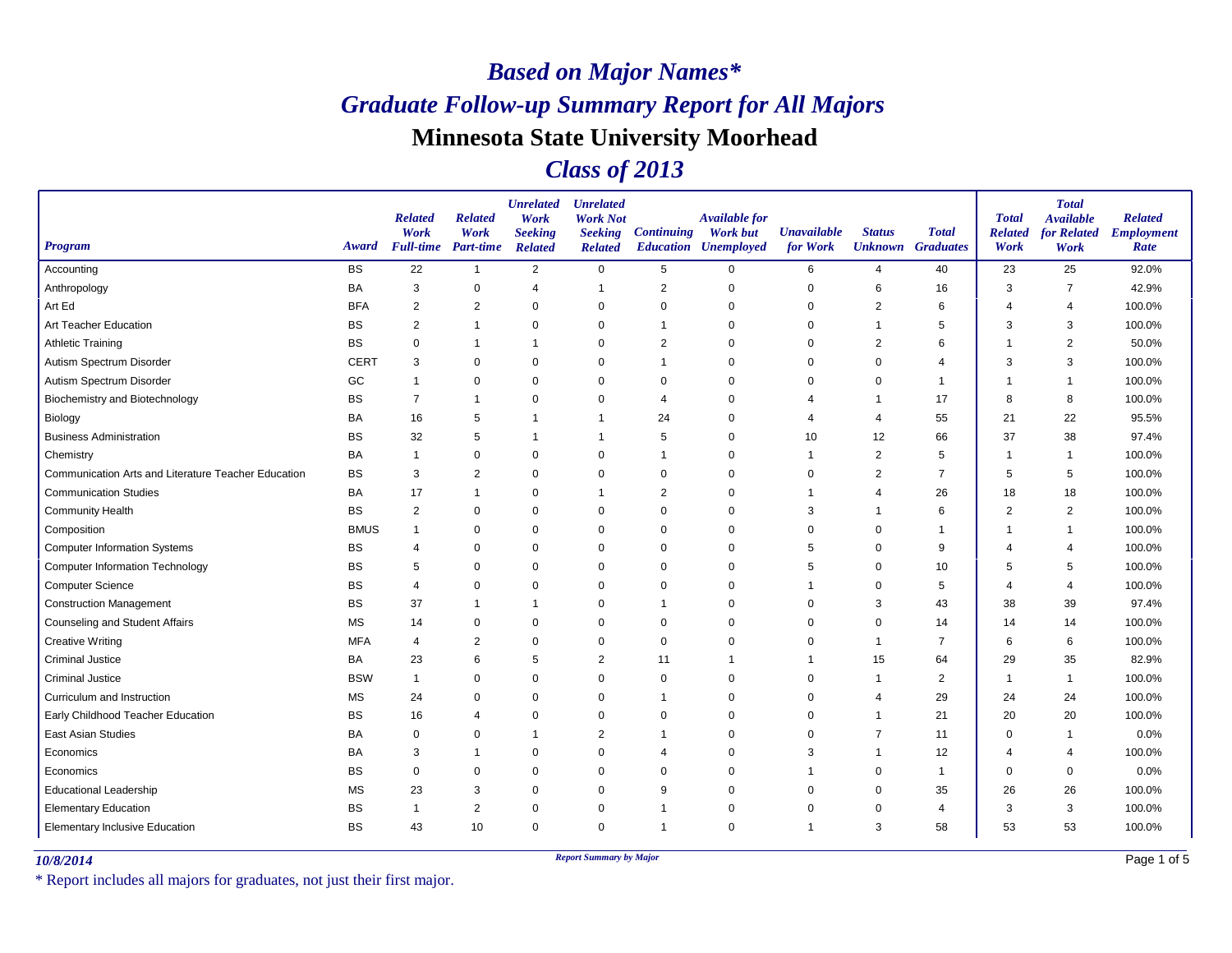### *Class of 2013*

| <b>Program</b>                                      | Award       | <b>Related</b><br>Work<br><b>Full-time</b> | <b>Related</b><br>Work<br><b>Part-time</b> | <b>Unrelated</b><br>Work<br><b>Seeking</b><br><b>Related</b> | <b>Unrelated</b><br><b>Work Not</b><br><b>Seeking</b><br><b>Related</b> | <b>Continuing</b> | <b>Available for</b><br><b>Work but</b><br><b>Education Unemployed</b> | <b>Unavailable</b><br>for Work | <b>Status</b>  | <b>Total</b><br><b>Unknown</b> Graduates | <b>Total</b><br><b>Related</b><br>Work | <b>Total</b><br><b>Available</b><br>for Related<br>Work | <b>Related</b><br><b>Employment</b><br>Rate |
|-----------------------------------------------------|-------------|--------------------------------------------|--------------------------------------------|--------------------------------------------------------------|-------------------------------------------------------------------------|-------------------|------------------------------------------------------------------------|--------------------------------|----------------|------------------------------------------|----------------------------------------|---------------------------------------------------------|---------------------------------------------|
| Accounting                                          | <b>BS</b>   | 22                                         | $\overline{1}$                             | 2                                                            | $\mathbf 0$                                                             | $5\phantom{.0}$   | $\mathbf 0$                                                            | 6                              | $\overline{4}$ | 40                                       | 23                                     | 25                                                      | 92.0%                                       |
| Anthropology                                        | BA          | 3                                          | 0                                          | $\overline{4}$                                               | $\overline{1}$                                                          | 2                 | $\Omega$                                                               | 0                              | 6              | 16                                       | 3                                      | $\overline{7}$                                          | 42.9%                                       |
| Art Ed                                              | <b>BFA</b>  | $\overline{2}$                             | 2                                          | 0                                                            | 0                                                                       | $\Omega$          | $\Omega$                                                               | $\Omega$                       | 2              | 6                                        | 4                                      | $\overline{4}$                                          | 100.0%                                      |
| Art Teacher Education                               | <b>BS</b>   | 2                                          | $\mathbf 1$                                | $\mathbf 0$                                                  | $\mathbf 0$                                                             | 1                 | $\Omega$                                                               | $\Omega$                       | -1             | 5                                        | 3                                      | 3                                                       | 100.0%                                      |
| <b>Athletic Training</b>                            | BS          | 0                                          | $\overline{1}$                             | $\overline{1}$                                               | $\mathbf 0$                                                             | $\overline{2}$    | $\Omega$                                                               | 0                              | $\overline{2}$ | 6                                        |                                        | $\overline{2}$                                          | 50.0%                                       |
| Autism Spectrum Disorder                            | <b>CERT</b> | 3                                          | $\mathbf 0$                                | $\mathbf 0$                                                  | $\mathbf 0$                                                             | 1                 | $\Omega$                                                               | 0                              | 0              | 4                                        | 3                                      | 3                                                       | 100.0%                                      |
| Autism Spectrum Disorder                            | GC          | 1                                          | $\mathbf 0$                                | $\mathbf 0$                                                  | $\Omega$                                                                | $\Omega$          | $\Omega$                                                               | $\Omega$                       | $\Omega$       | 1                                        |                                        | $\overline{1}$                                          | 100.0%                                      |
| <b>Biochemistry and Biotechnology</b>               | <b>BS</b>   | $\overline{7}$                             | $\overline{1}$                             | $\mathbf 0$                                                  | $\mathbf 0$                                                             | $\overline{4}$    | $\Omega$                                                               | 4                              | -1             | 17                                       | 8                                      | 8                                                       | 100.0%                                      |
| Biology                                             | BA          | 16                                         | 5                                          | $\overline{1}$                                               | $\mathbf 1$                                                             | 24                | $\Omega$                                                               | 4                              | 4              | 55                                       | 21                                     | 22                                                      | 95.5%                                       |
| <b>Business Administration</b>                      | BS          | 32                                         | 5                                          | $\overline{1}$                                               | $\mathbf 1$                                                             | 5                 | $\Omega$                                                               | 10                             | 12             | 66                                       | 37                                     | 38                                                      | 97.4%                                       |
| Chemistry                                           | <b>BA</b>   | 1                                          | $\pmb{0}$                                  | $\mathbf 0$                                                  | $\mathbf 0$                                                             | 1                 | $\Omega$                                                               | 1                              | $\overline{2}$ | 5                                        |                                        | 1                                                       | 100.0%                                      |
| Communication Arts and Literature Teacher Education | BS          | 3                                          | $\overline{2}$                             | 0                                                            | 0                                                                       | $\Omega$          | $\Omega$                                                               | $\Omega$                       | 2              | 7                                        | 5                                      | 5                                                       | 100.0%                                      |
| <b>Communication Studies</b>                        | BA          | 17                                         | $\overline{1}$                             | $\mathbf 0$                                                  | $\mathbf 1$                                                             | $\overline{2}$    | $\Omega$                                                               | 1                              | $\overline{4}$ | 26                                       | 18                                     | 18                                                      | 100.0%                                      |
| <b>Community Health</b>                             | <b>BS</b>   | $\overline{c}$                             | 0                                          | $\mathbf 0$                                                  | $\mathbf 0$                                                             | $\Omega$          | $\Omega$                                                               | 3                              | -1             | 6                                        | $\overline{2}$                         | $\overline{c}$                                          | 100.0%                                      |
| Composition                                         | <b>BMUS</b> | $\overline{1}$                             | $\mathbf 0$                                | $\mathbf 0$                                                  | $\Omega$                                                                | $\Omega$          | $\Omega$                                                               | 0                              | $\Omega$       |                                          |                                        | -1                                                      | 100.0%                                      |
| <b>Computer Information Systems</b>                 | <b>BS</b>   | 4                                          | 0                                          | $\mathbf 0$                                                  | $\mathbf 0$                                                             | 0                 | $\Omega$                                                               | 5                              | 0              | 9                                        |                                        | 4                                                       | 100.0%                                      |
| <b>Computer Information Technology</b>              | ВS          | 5                                          | 0                                          | 0                                                            | 0                                                                       | $\mathbf 0$       | $\Omega$                                                               | 5                              | $\mathbf 0$    | 10                                       | 5                                      | 5                                                       | 100.0%                                      |
| <b>Computer Science</b>                             | BS          | 4                                          | $\pmb{0}$                                  | $\mathbf 0$                                                  | $\mathbf 0$                                                             | $\Omega$          | $\Omega$                                                               | 1                              | $\mathbf 0$    | 5                                        | Δ                                      | $\overline{4}$                                          | 100.0%                                      |
| <b>Construction Management</b>                      | BS          | 37                                         | $\mathbf 1$                                | $\overline{1}$                                               | 0                                                                       | 1                 | $\Omega$                                                               | 0                              | 3              | 43                                       | 38                                     | 39                                                      | 97.4%                                       |
| <b>Counseling and Student Affairs</b>               | <b>MS</b>   | 14                                         | $\mathbf 0$                                | $\mathbf 0$                                                  | $\mathbf 0$                                                             | $\Omega$          | $\Omega$                                                               | $\mathbf 0$                    | $\mathbf 0$    | 14                                       | 14                                     | 14                                                      | 100.0%                                      |
| <b>Creative Writing</b>                             | <b>MFA</b>  | $\overline{4}$                             | $\overline{2}$                             | $\mathbf 0$                                                  | $\mathbf 0$                                                             | $\Omega$          | $\Omega$                                                               | $\Omega$                       | -1             | $\overline{7}$                           | 6                                      | 6                                                       | 100.0%                                      |
| <b>Criminal Justice</b>                             | BA          | 23                                         | 6                                          | 5                                                            | $\overline{2}$                                                          | 11                |                                                                        | 1                              | 15             | 64                                       | 29                                     | 35                                                      | 82.9%                                       |
| <b>Criminal Justice</b>                             | <b>BSW</b>  | $\mathbf{1}$                               | $\pmb{0}$                                  | $\mathbf 0$                                                  | $\mathbf 0$                                                             | 0                 | $\Omega$                                                               | 0                              | -1             | $\overline{2}$                           | -1                                     | $\overline{\mathbf{1}}$                                 | 100.0%                                      |
| Curriculum and Instruction                          | MS          | 24                                         | 0                                          | 0                                                            | 0                                                                       | 1                 | $\Omega$                                                               | 0                              | 4              | 29                                       | 24                                     | 24                                                      | 100.0%                                      |
| Early Childhood Teacher Education                   | <b>BS</b>   | 16                                         | $\overline{4}$                             | $\mathbf 0$                                                  | $\mathbf 0$                                                             | $\Omega$          | $\Omega$                                                               | $\Omega$                       | -1             | 21                                       | 20                                     | 20                                                      | 100.0%                                      |
| <b>East Asian Studies</b>                           | BA          | 0                                          | 0                                          | $\overline{1}$                                               | 2                                                                       |                   | $\Omega$                                                               | 0                              |                | 11                                       | $\Omega$                               | 1                                                       | 0.0%                                        |
| Economics                                           | <b>BA</b>   | 3                                          | $\mathbf 1$                                | $\mathbf 0$                                                  | $\mathbf 0$                                                             | $\overline{4}$    | $\Omega$                                                               | 3                              | -1             | 12                                       | 4                                      | 4                                                       | 100.0%                                      |
| Economics                                           | BS          | $\mathbf 0$                                | $\mathbf 0$                                | $\mathbf 0$                                                  | $\mathbf 0$                                                             | $\Omega$          | $\Omega$                                                               | 1                              | $\mathbf 0$    | $\mathbf 1$                              | $\Omega$                               | 0                                                       | 0.0%                                        |
| <b>Educational Leadership</b>                       | <b>MS</b>   | 23                                         | 3                                          | $\mathbf 0$                                                  | $\mathbf 0$                                                             | 9                 | $\Omega$                                                               | 0                              | $\Omega$       | 35                                       | 26                                     | 26                                                      | 100.0%                                      |
| <b>Elementary Education</b>                         | BS          | $\overline{1}$                             | $\overline{2}$                             | $\mathbf 0$                                                  | $\mathbf 0$                                                             | 1                 | $\Omega$                                                               | 0                              | 0              | $\overline{4}$                           | 3                                      | 3                                                       | 100.0%                                      |
| <b>Elementary Inclusive Education</b>               | BS          | 43                                         | 10                                         | $\mathbf 0$                                                  | $\mathbf 0$                                                             | 1                 | $\Omega$                                                               | 1                              | 3              | 58                                       | 53                                     | 53                                                      | 100.0%                                      |

*10/8/2014 Report Summary by Major*

\* Report includes all majors for graduates, not just their first major.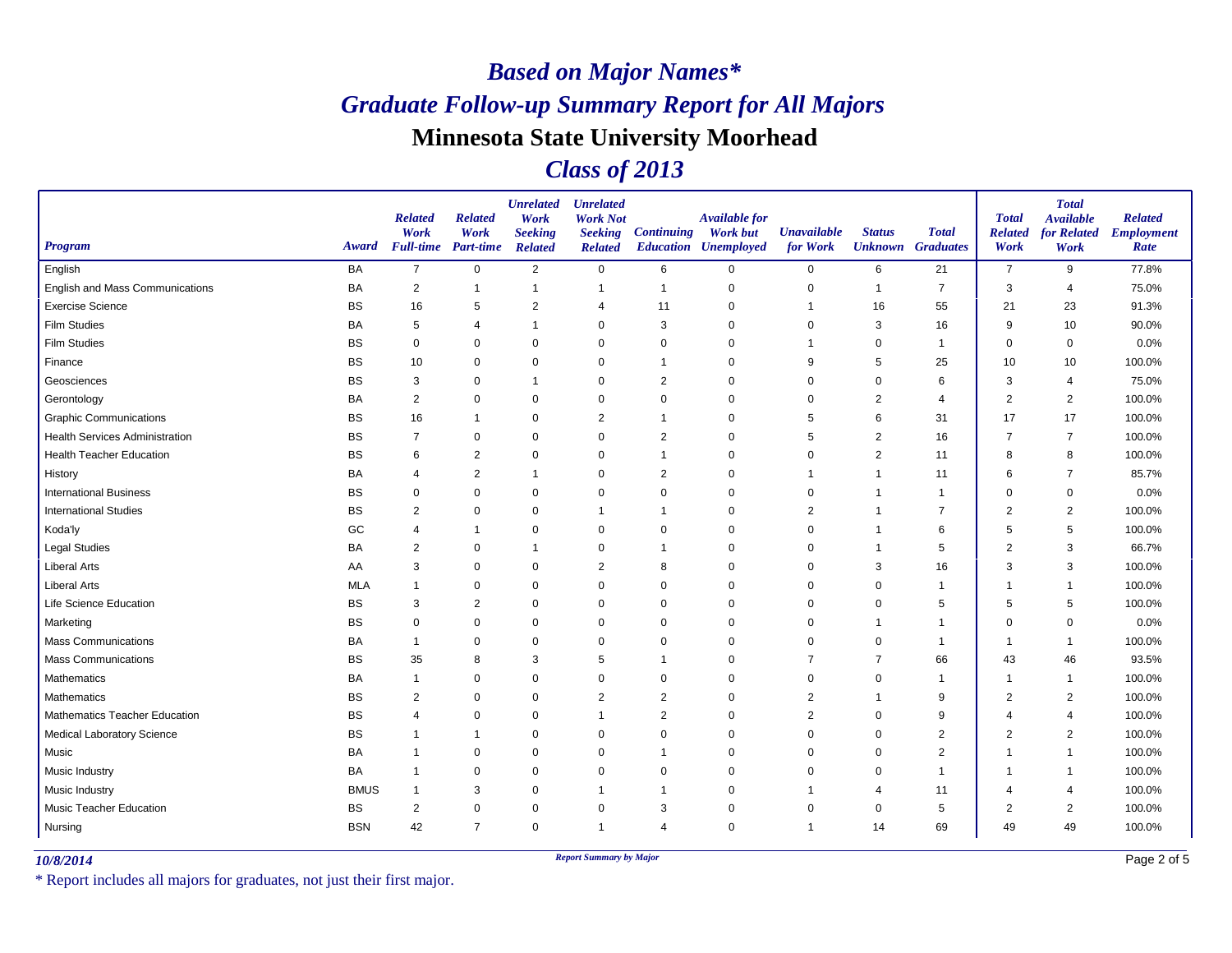### *Class of 2013*

| Program                               | Award       | <b>Related</b><br>Work<br><b>Full-time</b> Part-time | <b>Related</b><br>Work | <b>Unrelated</b><br>Work<br><b>Seeking</b><br><b>Related</b> | <b>Unrelated</b><br><b>Work Not</b><br><b>Seeking</b><br><b>Related</b> | <b>Continuing</b> | <b>Available for</b><br><b>Work but</b><br><b>Education Unemployed</b> | <b>Unavailable</b><br>for Work | <b>Status</b><br><b>Unknown</b> Graduates | <b>Total</b>   | <b>Total</b><br><b>Related</b><br>Work | <b>Total</b><br><b>Available</b><br><b>for Related</b><br>Work | <b>Related</b><br><b>Employment</b><br>Rate |
|---------------------------------------|-------------|------------------------------------------------------|------------------------|--------------------------------------------------------------|-------------------------------------------------------------------------|-------------------|------------------------------------------------------------------------|--------------------------------|-------------------------------------------|----------------|----------------------------------------|----------------------------------------------------------------|---------------------------------------------|
| English                               | BA          | $\overline{7}$                                       | $\mathbf 0$            | 2                                                            | $\mathbf 0$                                                             | 6                 | $\mathbf 0$                                                            | $\mathbf 0$                    | 6                                         | 21             | $\overline{7}$                         | 9                                                              | 77.8%                                       |
| English and Mass Communications       | <b>BA</b>   | 2                                                    | $\overline{1}$         | 1                                                            | -1                                                                      | $\mathbf 1$       | $\mathbf 0$                                                            | 0                              | $\mathbf 1$                               | $\overline{7}$ | 3                                      | $\overline{4}$                                                 | 75.0%                                       |
| <b>Exercise Science</b>               | <b>BS</b>   | 16                                                   | 5                      | $\overline{2}$                                               | $\overline{4}$                                                          | 11                | 0                                                                      |                                | 16                                        | 55             | 21                                     | 23                                                             | 91.3%                                       |
| Film Studies                          | <b>BA</b>   | 5                                                    | 4                      | 1                                                            | $\mathbf 0$                                                             | 3                 | $\mathbf 0$                                                            | $\Omega$                       | 3                                         | 16             | 9                                      | 10                                                             | 90.0%                                       |
| <b>Film Studies</b>                   | <b>BS</b>   | $\Omega$                                             | $\mathbf 0$            | $\mathbf 0$                                                  | $\mathbf 0$                                                             | $\mathbf 0$       | $\Omega$                                                               |                                | 0                                         | $\mathbf{1}$   | $\Omega$                               | 0                                                              | 0.0%                                        |
| Finance                               | <b>BS</b>   | 10                                                   | $\mathbf 0$            | $\mathbf 0$                                                  | $\mathbf 0$                                                             | $\overline{1}$    | $\mathbf 0$                                                            | 9                              | 5                                         | 25             | 10                                     | 10                                                             | 100.0%                                      |
| Geosciences                           | <b>BS</b>   | 3                                                    | $\mathbf 0$            | 1                                                            | $\Omega$                                                                | $\overline{2}$    | $\Omega$                                                               | $\Omega$                       | $\mathbf 0$                               | 6              | 3                                      | $\overline{4}$                                                 | 75.0%                                       |
| Gerontology                           | <b>BA</b>   | $\sqrt{2}$                                           | $\mathbf 0$            | $\mathbf 0$                                                  | $\Omega$                                                                | $\mathbf 0$       | $\Omega$                                                               | $\Omega$                       | $\overline{2}$                            | $\overline{4}$ | $\overline{2}$                         | $\overline{2}$                                                 | 100.0%                                      |
| <b>Graphic Communications</b>         | <b>BS</b>   | 16                                                   | $\overline{1}$         | 0                                                            | 2                                                                       | $\overline{1}$    | $\mathbf 0$                                                            | 5                              | 6                                         | 31             | 17                                     | 17                                                             | 100.0%                                      |
| <b>Health Services Administration</b> | <b>BS</b>   | $\overline{7}$                                       | 0                      | $\mathbf 0$                                                  | $\mathbf 0$                                                             | 2                 | 0                                                                      | 5                              | 2                                         | 16             | 7                                      | $\overline{7}$                                                 | 100.0%                                      |
| <b>Health Teacher Education</b>       | <b>BS</b>   | 6                                                    | $\overline{2}$         | $\mathbf 0$                                                  | $\mathbf 0$                                                             |                   | $\mathbf 0$                                                            | $\Omega$                       | $\overline{2}$                            | 11             | 8                                      | 8                                                              | 100.0%                                      |
| History                               | BA          | $\overline{4}$                                       | $\overline{2}$         | 1                                                            | $\mathbf 0$                                                             | $\overline{2}$    | $\Omega$                                                               | -1                             | $\mathbf 1$                               | 11             | 6                                      | -7                                                             | 85.7%                                       |
| <b>International Business</b>         | <b>BS</b>   | $\Omega$                                             | $\mathbf 0$            | $\mathbf 0$                                                  | $\mathbf 0$                                                             | $\mathbf 0$       | $\mathbf 0$                                                            | $\mathbf 0$                    | 1                                         | $\mathbf{1}$   | $\Omega$                               | $\mathbf 0$                                                    | 0.0%                                        |
| <b>International Studies</b>          | <b>BS</b>   | $\overline{2}$                                       | 0                      | $\mathbf 0$                                                  |                                                                         | $\mathbf{1}$      | $\mathbf 0$                                                            | $\overline{2}$                 | -1                                        | $\overline{7}$ | $\overline{2}$                         | $\overline{2}$                                                 | 100.0%                                      |
| Koda'ly                               | GC          | $\overline{4}$                                       | $\mathbf{1}$           | $\mathbf 0$                                                  | $\Omega$                                                                | $\mathbf 0$       | $\Omega$                                                               | $\Omega$                       | -1                                        | 6              | 5                                      | 5                                                              | 100.0%                                      |
| <b>Legal Studies</b>                  | <b>BA</b>   | 2                                                    | $\mathbf 0$            | 1                                                            | $\mathbf 0$                                                             | -1                | $\Omega$                                                               | $\mathbf 0$                    | -1                                        | 5              | $\overline{2}$                         | 3                                                              | 66.7%                                       |
| <b>Liberal Arts</b>                   | AA          | 3                                                    | $\mathbf 0$            | $\mathbf 0$                                                  | 2                                                                       | 8                 | $\mathbf 0$                                                            | 0                              | 3                                         | 16             | 3                                      | 3                                                              | 100.0%                                      |
| <b>Liberal Arts</b>                   | <b>MLA</b>  |                                                      | $\mathbf 0$            | $\mathbf 0$                                                  | $\mathbf 0$                                                             | $\mathbf 0$       | $\Omega$                                                               | $\Omega$                       | $\mathbf 0$                               | 1              | -1                                     | $\overline{1}$                                                 | 100.0%                                      |
| Life Science Education                | <b>BS</b>   | 3                                                    | $\overline{2}$         | 0                                                            | 0                                                                       | 0                 | $\mathbf 0$                                                            | 0                              | 0                                         | 5              | 5                                      | 5                                                              | 100.0%                                      |
| Marketing                             | <b>BS</b>   | $\Omega$                                             | $\mathbf 0$            | $\mathbf 0$                                                  | $\mathbf 0$                                                             | $\mathbf 0$       | $\mathbf 0$                                                            | $\mathbf 0$                    | 1                                         | $\overline{1}$ | $\Omega$                               | $\mathbf 0$                                                    | 0.0%                                        |
| <b>Mass Communications</b>            | BA          | -1                                                   | $\mathbf 0$            | $\mathbf 0$                                                  | $\mathbf 0$                                                             | $\mathbf 0$       | $\Omega$                                                               | $\Omega$                       | $\mathbf 0$                               | $\mathbf{1}$   | 1                                      | $\overline{1}$                                                 | 100.0%                                      |
| Mass Communications                   | <b>BS</b>   | 35                                                   | 8                      | 3                                                            | 5                                                                       | $\mathbf{1}$      | $\Omega$                                                               | 7                              | $\overline{7}$                            | 66             | 43                                     | 46                                                             | 93.5%                                       |
| Mathematics                           | <b>BA</b>   | $\mathbf 1$                                          | $\mathbf 0$            | $\mathbf 0$                                                  | $\mathbf 0$                                                             | $\mathbf 0$       | $\mathbf 0$                                                            | $\mathbf 0$                    | $\mathbf 0$                               | $\mathbf{1}$   | -1                                     | $\overline{1}$                                                 | 100.0%                                      |
| Mathematics                           | <b>BS</b>   | $\overline{2}$                                       | 0                      | 0                                                            | $\overline{2}$                                                          | 2                 | 0                                                                      | $\overline{2}$                 | 1                                         | 9              | $\overline{2}$                         | $\overline{2}$                                                 | 100.0%                                      |
| <b>Mathematics Teacher Education</b>  | <b>BS</b>   | $\overline{4}$                                       | $\mathbf 0$            | $\mathbf 0$                                                  |                                                                         | $\overline{2}$    | $\mathbf 0$                                                            | $\overline{2}$                 | 0                                         | 9              | Δ                                      | $\overline{4}$                                                 | 100.0%                                      |
| Medical Laboratory Science            | <b>BS</b>   | -1                                                   | $\overline{1}$         | $\mathbf 0$                                                  | $\mathbf 0$                                                             | 0                 | $\Omega$                                                               | 0                              | $\mathbf 0$                               | $\overline{2}$ | $\overline{2}$                         | 2                                                              | 100.0%                                      |
| Music                                 | BA          | $\overline{1}$                                       | $\mathbf 0$            | $\mathbf 0$                                                  | $\Omega$                                                                | $\mathbf{1}$      | $\Omega$                                                               | $\mathbf 0$                    | $\Omega$                                  | $\overline{2}$ | -1                                     | $\overline{1}$                                                 | 100.0%                                      |
| Music Industry                        | BA          | -1                                                   | $\mathbf 0$            | $\mathbf 0$                                                  | $\Omega$                                                                | $\mathbf 0$       | $\Omega$                                                               | $\Omega$                       | $\Omega$                                  | $\mathbf{1}$   | -1                                     | $\overline{1}$                                                 | 100.0%                                      |
| Music Industry                        | <b>BMUS</b> | $\mathbf{1}$                                         | 3                      | $\mathbf 0$                                                  |                                                                         |                   | $\mathbf 0$                                                            |                                | 4                                         | 11             | 4                                      | $\overline{4}$                                                 | 100.0%                                      |
| <b>Music Teacher Education</b>        | <b>BS</b>   | $\overline{2}$                                       | $\mathbf 0$            | $\mathbf 0$                                                  | 0                                                                       | 3                 | $\mathbf 0$                                                            | $\mathbf 0$                    | $\mathbf 0$                               | 5              | $\overline{2}$                         | $\overline{c}$                                                 | 100.0%                                      |
| Nursing                               | <b>BSN</b>  | 42                                                   | $\overline{7}$         | $\mathbf 0$                                                  | $\mathbf{1}$                                                            | $\overline{4}$    | 0                                                                      | 1                              | 14                                        | 69             | 49                                     | 49                                                             | 100.0%                                      |

*10/8/2014 Report Summary by Major*

\* Report includes all majors for graduates, not just their first major.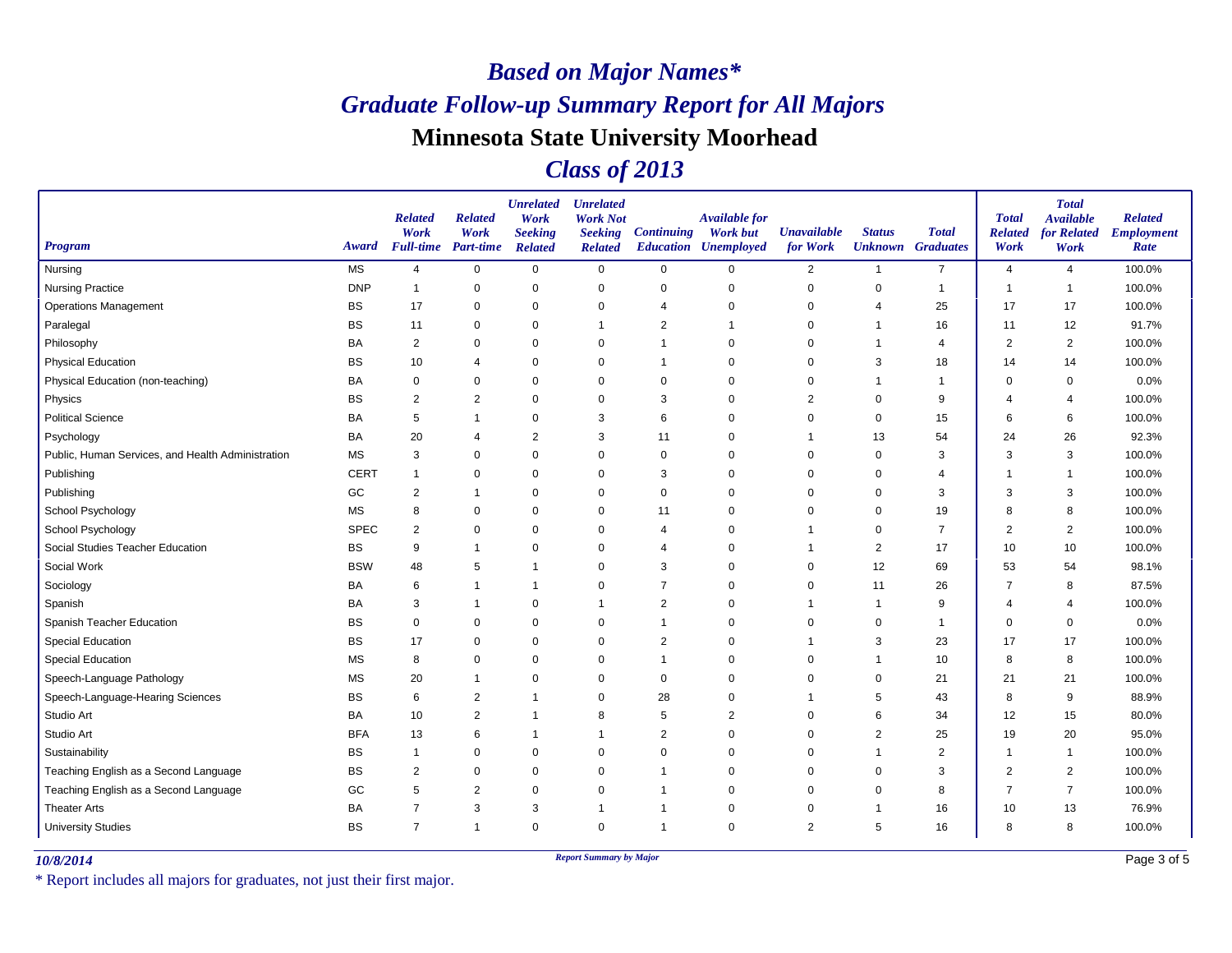### *Class of 2013*

| Program                                           | Award       | <b>Related</b><br>Work<br><b>Full-time</b> Part-time | <b>Related</b><br>Work | <b>Unrelated</b><br>Work<br><b>Seeking</b><br><b>Related</b> | <b>Unrelated</b><br><b>Work Not</b><br><b>Seeking</b><br><b>Related</b> | <b>Continuing</b> | <b>Available for</b><br><b>Work but</b><br><b>Education Unemployed</b> | <b>Unavailable</b><br>for Work | <b>Status</b>  | <b>Total</b><br><b>Unknown</b> Graduates | <b>Total</b><br><b>Related</b><br>Work | <b>Total</b><br><b>Available</b><br>for Related<br>Work | <b>Related</b><br><b>Employment</b><br>Rate |
|---------------------------------------------------|-------------|------------------------------------------------------|------------------------|--------------------------------------------------------------|-------------------------------------------------------------------------|-------------------|------------------------------------------------------------------------|--------------------------------|----------------|------------------------------------------|----------------------------------------|---------------------------------------------------------|---------------------------------------------|
| Nursing                                           | <b>MS</b>   | $\overline{4}$                                       | $\mathbf 0$            | $\mathbf 0$                                                  | $\mathbf 0$                                                             | $\mathbf 0$       | 0                                                                      | $\overline{2}$                 | $\mathbf{1}$   | $\overline{7}$                           | $\overline{4}$                         | 4                                                       | 100.0%                                      |
| <b>Nursing Practice</b>                           | <b>DNP</b>  | -1                                                   | 0                      | 0                                                            | 0                                                                       | 0                 | $\Omega$                                                               | 0                              | 0              | $\mathbf 1$                              | $\overline{\phantom{a}}$               | -1                                                      | 100.0%                                      |
| <b>Operations Management</b>                      | <b>BS</b>   | 17                                                   | $\pmb{0}$              | $\mathbf 0$                                                  | $\mathbf 0$                                                             | 4                 | $\Omega$                                                               | 0                              | 4              | 25                                       | 17                                     | 17                                                      | 100.0%                                      |
| Paralegal                                         | <b>BS</b>   | 11                                                   | 0                      | $\mathbf 0$                                                  | $\mathbf 1$                                                             | 2                 |                                                                        | 0                              | -1             | 16                                       | 11                                     | 12                                                      | 91.7%                                       |
| Philosophy                                        | BA          | 2                                                    | $\mathbf 0$            | $\mathbf 0$                                                  | $\mathbf 0$                                                             | 1                 | $\Omega$                                                               | 0                              | $\overline{1}$ | $\overline{4}$                           | $\overline{2}$                         | $\overline{2}$                                          | 100.0%                                      |
| <b>Physical Education</b>                         | <b>BS</b>   | 10                                                   | $\overline{4}$         | $\mathbf 0$                                                  | $\mathbf 0$                                                             | 1                 | $\Omega$                                                               | 0                              | 3              | 18                                       | 14                                     | 14                                                      | 100.0%                                      |
| Physical Education (non-teaching)                 | <b>BA</b>   | 0                                                    | 0                      | $\mathbf 0$                                                  | 0                                                                       | 0                 | $\Omega$                                                               | 0                              | -1             | 1                                        | $\Omega$                               | 0                                                       | 0.0%                                        |
| Physics                                           | BS          | $\overline{2}$                                       | $\overline{2}$         | $\mathbf 0$                                                  | $\mathbf 0$                                                             | 3                 | $\Omega$                                                               | $\overline{2}$                 | $\mathbf 0$    | 9                                        | 4                                      | 4                                                       | 100.0%                                      |
| <b>Political Science</b>                          | <b>BA</b>   | 5                                                    | $\mathbf 1$            | $\mathbf 0$                                                  | 3                                                                       | 6                 | $\Omega$                                                               | 0                              | 0              | 15                                       | 6                                      | 6                                                       | 100.0%                                      |
| Psychology                                        | BA          | 20                                                   | $\overline{4}$         | $\overline{2}$                                               | 3                                                                       | 11                | $\Omega$                                                               | 1                              | 13             | 54                                       | 24                                     | 26                                                      | 92.3%                                       |
| Public, Human Services, and Health Administration | <b>MS</b>   | 3                                                    | 0                      | $\mathbf 0$                                                  | $\mathbf 0$                                                             | 0                 | $\Omega$                                                               | 0                              | 0              | 3                                        | 3                                      | 3                                                       | 100.0%                                      |
| Publishing                                        | <b>CERT</b> | 1                                                    | $\mathbf 0$            | $\mathbf 0$                                                  | $\mathbf 0$                                                             | 3                 | $\mathbf 0$                                                            | 0                              | $\mathbf 0$    | 4                                        |                                        | 1                                                       | 100.0%                                      |
| Publishing                                        | GC          | 2                                                    | $\mathbf{1}$           | $\mathbf 0$                                                  | $\mathbf 0$                                                             | $\mathbf 0$       | $\Omega$                                                               | $\mathbf 0$                    | $\mathbf 0$    | 3                                        | 3                                      | 3                                                       | 100.0%                                      |
| School Psychology                                 | <b>MS</b>   | 8                                                    | $\pmb{0}$              | $\mathbf 0$                                                  | 0                                                                       | 11                | $\Omega$                                                               | 0                              | 0              | 19                                       | 8                                      | 8                                                       | 100.0%                                      |
| School Psychology                                 | <b>SPEC</b> | $\overline{c}$                                       | $\mathbf 0$            | $\mathbf 0$                                                  | $\overline{0}$                                                          | $\overline{4}$    | $\Omega$                                                               | 1                              | $\mathbf 0$    | $\overline{7}$                           | $\overline{2}$                         | $\overline{2}$                                          | 100.0%                                      |
| Social Studies Teacher Education                  | <b>BS</b>   | 9                                                    | $\mathbf{1}$           | $\mathbf 0$                                                  | 0                                                                       | 4                 | $\Omega$                                                               | 1                              | $\overline{2}$ | 17                                       | 10                                     | 10                                                      | 100.0%                                      |
| Social Work                                       | <b>BSW</b>  | 48                                                   | 5                      | $\overline{1}$                                               | $\mathbf 0$                                                             | 3                 | $\Omega$                                                               | 0                              | 12             | 69                                       | 53                                     | 54                                                      | 98.1%                                       |
| Sociology                                         | BA          | 6                                                    | $\mathbf 1$            | $\overline{1}$                                               | $\mathbf 0$                                                             | $\overline{7}$    | $\Omega$                                                               | $\Omega$                       | 11             | 26                                       | 7                                      | 8                                                       | 87.5%                                       |
| Spanish                                           | BA          | 3                                                    | $\mathbf 1$            | $\mathbf 0$                                                  | $\mathbf 1$                                                             | $\overline{c}$    | $\Omega$                                                               | 1                              | -1             | 9                                        | 4                                      | $\overline{4}$                                          | 100.0%                                      |
| Spanish Teacher Education                         | <b>BS</b>   | $\pmb{0}$                                            | $\pmb{0}$              | $\mathbf 0$                                                  | $\mathbf 0$                                                             | 1                 | $\Omega$                                                               | $\mathbf 0$                    | $\mathbf 0$    | $\mathbf 1$                              | $\Omega$                               | $\mathbf 0$                                             | 0.0%                                        |
| <b>Special Education</b>                          | <b>BS</b>   | 17                                                   | $\pmb{0}$              | $\mathbf 0$                                                  | $\mathbf 0$                                                             | $\overline{2}$    | $\Omega$                                                               | 1                              | 3              | 23                                       | 17                                     | 17                                                      | 100.0%                                      |
| Special Education                                 | <b>MS</b>   | 8                                                    | $\mathbf 0$            | $\mathbf 0$                                                  | $\mathbf 0$                                                             | 1                 | $\Omega$                                                               | 0                              | $\mathbf 1$    | 10                                       | 8                                      | 8                                                       | 100.0%                                      |
| Speech-Language Pathology                         | <b>MS</b>   | 20                                                   | $\mathbf 1$            | $\mathbf 0$                                                  | $\mathbf 0$                                                             | 0                 | $\Omega$                                                               | 0                              | 0              | 21                                       | 21                                     | 21                                                      | 100.0%                                      |
| Speech-Language-Hearing Sciences                  | <b>BS</b>   | 6                                                    | $\overline{2}$         | $\overline{1}$                                               | 0                                                                       | 28                | 0                                                                      | 1                              | 5              | 43                                       | 8                                      | 9                                                       | 88.9%                                       |
| Studio Art                                        | BA          | 10                                                   | $\overline{2}$         | $\overline{1}$                                               | 8                                                                       | 5                 | $\overline{2}$                                                         | $\Omega$                       | 6              | 34                                       | 12                                     | 15                                                      | 80.0%                                       |
| Studio Art                                        | <b>BFA</b>  | 13                                                   | 6                      | $\overline{1}$                                               | $\mathbf 1$                                                             | $\overline{2}$    | $\Omega$                                                               | 0                              | $\overline{c}$ | 25                                       | 19                                     | 20                                                      | 95.0%                                       |
| Sustainability                                    | <b>BS</b>   | -1                                                   | $\pmb{0}$              | $\mathbf 0$                                                  | $\mathbf 0$                                                             | 0                 | $\Omega$                                                               | 0                              | $\mathbf 1$    | 2                                        | -1                                     | -1                                                      | 100.0%                                      |
| Teaching English as a Second Language             | <b>BS</b>   | $\overline{2}$                                       | $\pmb{0}$              | $\pmb{0}$                                                    | $\mathbf 0$                                                             | 1                 | $\Omega$                                                               | 0                              | 0              | 3                                        | $\overline{2}$                         | $\overline{2}$                                          | 100.0%                                      |
| Teaching English as a Second Language             | GC          | 5                                                    | $\overline{2}$         | $\mathbf 0$                                                  | $\mathbf 0$                                                             |                   | $\Omega$                                                               | 0                              | 0              | 8                                        | $\overline{7}$                         | $\overline{7}$                                          | 100.0%                                      |
| <b>Theater Arts</b>                               | <b>BA</b>   | $\overline{7}$                                       | 3                      | 3                                                            | $\overline{1}$                                                          | 1                 | $\Omega$                                                               | 0                              | $\overline{1}$ | 16                                       | 10                                     | 13                                                      | 76.9%                                       |
| <b>University Studies</b>                         | <b>BS</b>   | $\overline{7}$                                       | $\overline{1}$         | $\mathbf 0$                                                  | $\mathbf 0$                                                             | 1                 | $\Omega$                                                               | $\overline{2}$                 | 5              | 16                                       | 8                                      | 8                                                       | 100.0%                                      |

*10/8/2014 Report Summary by Major*

\* Report includes all majors for graduates, not just their first major.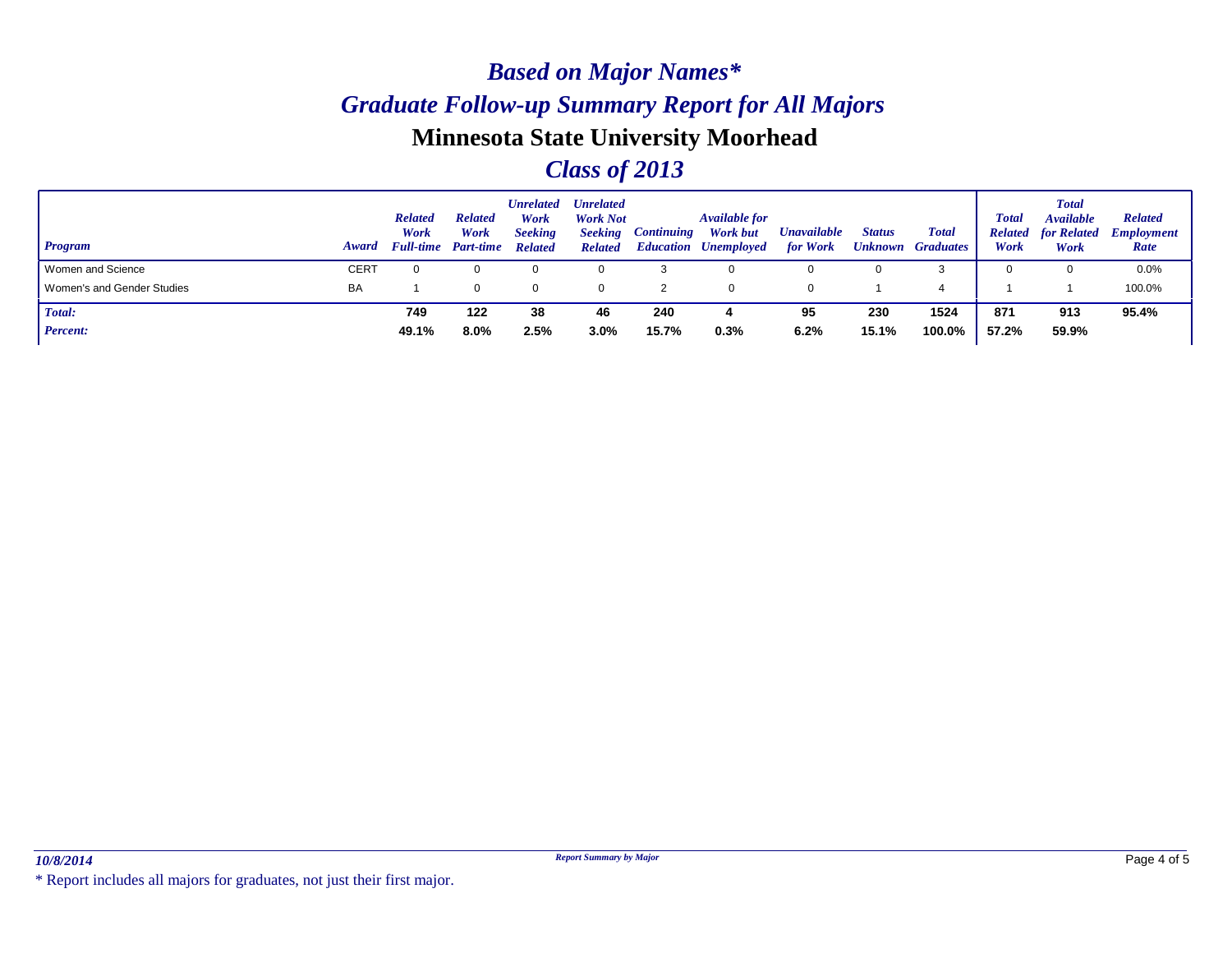### *Class of 2013*

| Program                    | <b>Award</b> | <b>Related</b><br>Work<br><b>Full-time</b> | <b>Related</b><br>Work<br><b>Part-time</b> | Unrelated<br>Work<br><b>Seeking</b><br><b>Related</b> | <b>Unrelated</b><br><b>Work Not</b><br><b>Seeking</b><br><b>Related</b> | <i><b>Continuing</b></i> | <b>Available for</b><br><b>Work but</b><br><b>Education Unemployed</b> | <b>Unavailable</b><br>for Work | <b>Status</b><br><b>Unknown</b> | <b>Total</b><br><b>Graduates</b> | <b>Total</b><br><b>Related</b><br>Work | <b>Total</b><br><b>Available</b><br>for Related<br>Work | <b>Related</b><br><b>Employment</b><br>Rate |
|----------------------------|--------------|--------------------------------------------|--------------------------------------------|-------------------------------------------------------|-------------------------------------------------------------------------|--------------------------|------------------------------------------------------------------------|--------------------------------|---------------------------------|----------------------------------|----------------------------------------|---------------------------------------------------------|---------------------------------------------|
| Women and Science          | <b>CERT</b>  |                                            |                                            |                                                       |                                                                         |                          | 0                                                                      |                                | 0                               |                                  |                                        |                                                         | 0.0%                                        |
| Women's and Gender Studies | BA           |                                            |                                            |                                                       |                                                                         |                          | 0                                                                      | 0                              |                                 |                                  |                                        |                                                         | 100.0%                                      |
| Total:                     |              | 749                                        | 122                                        | 38                                                    | 46                                                                      | 240                      |                                                                        | 95                             | 230                             | 1524                             | 871                                    | 913                                                     | 95.4%                                       |
| <b>Percent:</b>            |              | 49.1%                                      | 8.0%                                       | 2.5%                                                  | 3.0%                                                                    | 15.7%                    | 0.3%                                                                   | 6.2%                           | 15.1%                           | 100.0%                           | 57.2%                                  | 59.9%                                                   |                                             |